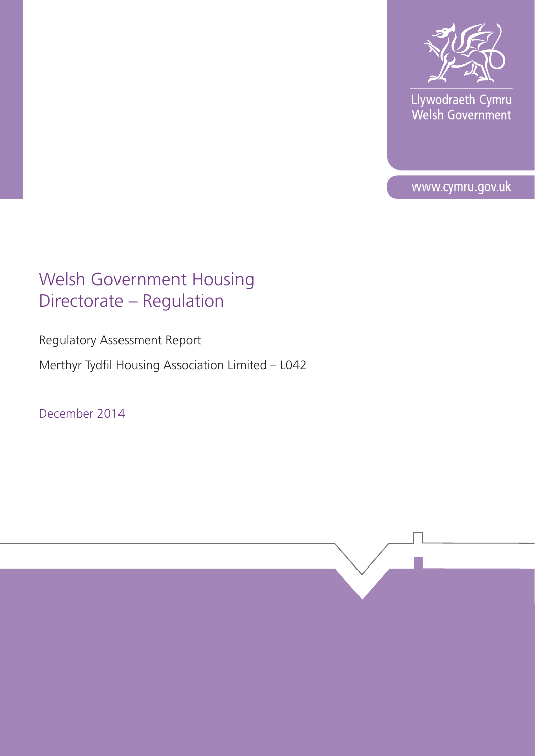

Llywodraeth Cymru<br>Welsh Government

www.cymru.gov.uk

# Welsh Government Housing Directorate – Regulation

Regulatory Assessment Report

Merthyr Tydfil Housing Association Limited – L042

December 2014

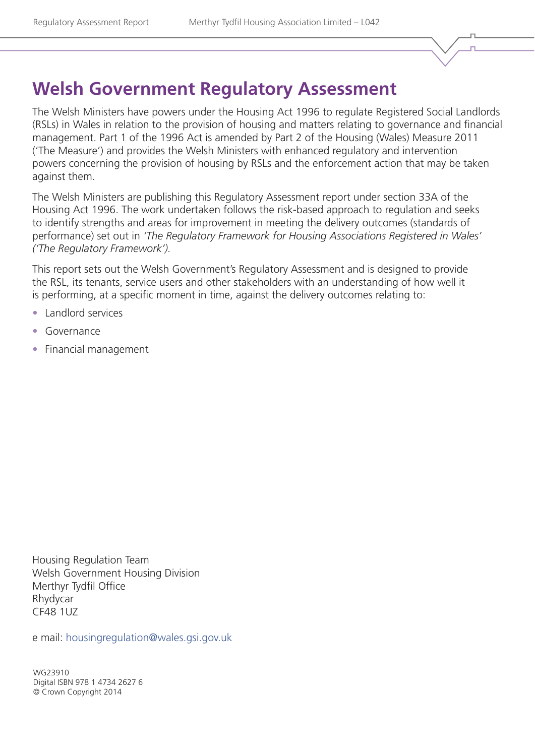# **Welsh Government Regulatory Assessment**

The Welsh Ministers have powers under the Housing Act 1996 to regulate Registered Social Landlords (RSLs) in Wales in relation to the provision of housing and matters relating to governance and financial management. Part 1 of the 1996 Act is amended by Part 2 of the Housing (Wales) Measure 2011 ('The Measure') and provides the Welsh Ministers with enhanced regulatory and intervention powers concerning the provision of housing by RSLs and the enforcement action that may be taken against them.

The Welsh Ministers are publishing this Regulatory Assessment report under section 33A of the Housing Act 1996. The work undertaken follows the risk-based approach to regulation and seeks to identify strengths and areas for improvement in meeting the delivery outcomes (standards of performance) set out in *'The Regulatory Framework for Housing Associations Registered in Wales' ('The Regulatory Framework').*

This report sets out the Welsh Government's Regulatory Assessment and is designed to provide the RSL, its tenants, service users and other stakeholders with an understanding of how well it is performing, at a specific moment in time, against the delivery outcomes relating to:

- Landlord services
- Governance
- Financial management

Housing Regulation Team Welsh Government Housing Division Merthyr Tydfil Office Rhydycar CF48 1UZ

e mail: [housingregulation@wales.gsi.gov.uk](mailto:housingregulation%40wales.gsi.gov.uk?subject=)

WG23910 Digital ISBN 978 1 4734 2627 6 © Crown Copyright 2014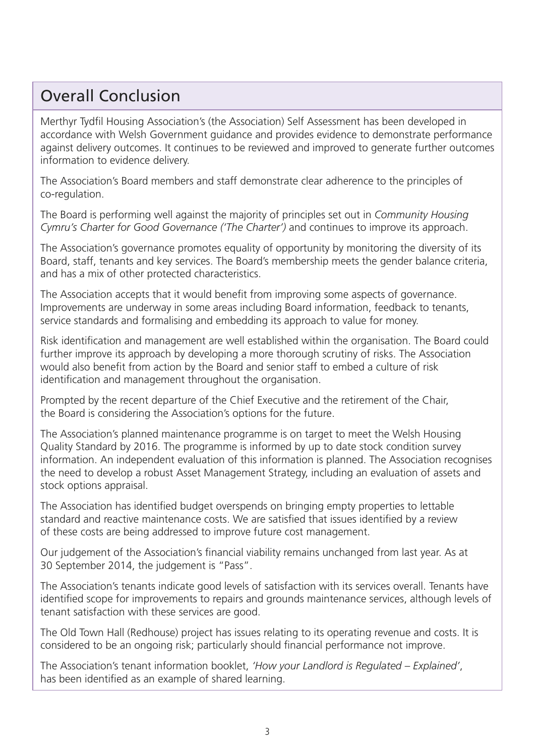## Overall Conclusion

Merthyr Tydfil Housing Association's (the Association) Self Assessment has been developed in accordance with Welsh Government guidance and provides evidence to demonstrate performance against delivery outcomes. It continues to be reviewed and improved to generate further outcomes information to evidence delivery.

The Association's Board members and staff demonstrate clear adherence to the principles of co-regulation.

The Board is performing well against the majority of principles set out in *Community Housing Cymru's Charter for Good Governance ('The Charter')* and continues to improve its approach.

The Association's governance promotes equality of opportunity by monitoring the diversity of its Board, staff, tenants and key services. The Board's membership meets the gender balance criteria, and has a mix of other protected characteristics.

The Association accepts that it would benefit from improving some aspects of governance. Improvements are underway in some areas including Board information, feedback to tenants, service standards and formalising and embedding its approach to value for money.

Risk identification and management are well established within the organisation. The Board could further improve its approach by developing a more thorough scrutiny of risks. The Association would also benefit from action by the Board and senior staff to embed a culture of risk identification and management throughout the organisation.

Prompted by the recent departure of the Chief Executive and the retirement of the Chair, the Board is considering the Association's options for the future.

The Association's planned maintenance programme is on target to meet the Welsh Housing Quality Standard by 2016. The programme is informed by up to date stock condition survey information. An independent evaluation of this information is planned. The Association recognises the need to develop a robust Asset Management Strategy, including an evaluation of assets and stock options appraisal.

The Association has identified budget overspends on bringing empty properties to lettable standard and reactive maintenance costs. We are satisfied that issues identified by a review of these costs are being addressed to improve future cost management.

Our judgement of the Association's financial viability remains unchanged from last year. As at 30 September 2014, the judgement is "Pass".

The Association's tenants indicate good levels of satisfaction with its services overall. Tenants have identified scope for improvements to repairs and grounds maintenance services, although levels of tenant satisfaction with these services are good.

The Old Town Hall (Redhouse) project has issues relating to its operating revenue and costs. It is considered to be an ongoing risk; particularly should financial performance not improve.

The Association's tenant information booklet, *'How your Landlord is Regulated – Explained'*, has been identified as an example of shared learning.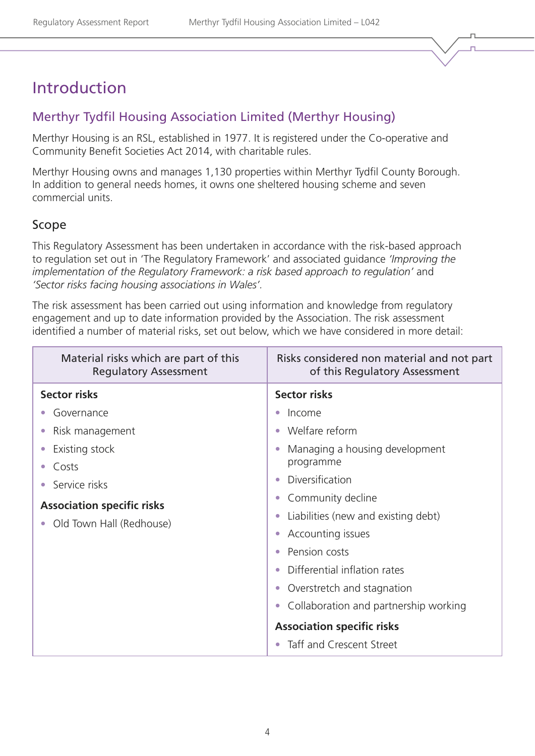## Introduction

## Merthyr Tydfil Housing Association Limited (Merthyr Housing)

Merthyr Housing is an RSL, established in 1977. It is registered under the Co-operative and Community Benefit Societies Act 2014, with charitable rules.

Merthyr Housing owns and manages 1,130 properties within Merthyr Tydfil County Borough. In addition to general needs homes, it owns one sheltered housing scheme and seven commercial units.

### Scope

This Regulatory Assessment has been undertaken in accordance with the risk-based approach to regulation set out in 'The Regulatory Framework' and associated guidance *'Improving the implementation of the Regulatory Framework: a risk based approach to regulation'* and *'Sector risks facing housing associations in Wales'.* 

The risk assessment has been carried out using information and knowledge from regulatory engagement and up to date information provided by the Association. The risk assessment identified a number of material risks, set out below, which we have considered in more detail:

| Material risks which are part of this<br><b>Regulatory Assessment</b> | Risks considered non material and not part<br>of this Regulatory Assessment |
|-----------------------------------------------------------------------|-----------------------------------------------------------------------------|
| <b>Sector risks</b>                                                   | <b>Sector risks</b>                                                         |
| Governance                                                            | Income                                                                      |
| Risk management                                                       | Welfare reform<br>$\bullet$                                                 |
| Existing stock                                                        | Managing a housing development                                              |
| Costs                                                                 | programme                                                                   |
| Service risks                                                         | Diversification                                                             |
| <b>Association specific risks</b>                                     | Community decline<br>$\bullet$                                              |
| Old Town Hall (Redhouse)                                              | Liabilities (new and existing debt)<br>$\bullet$                            |
|                                                                       | Accounting issues<br>$\bullet$                                              |
|                                                                       | Pension costs                                                               |
|                                                                       | Differential inflation rates                                                |
|                                                                       | Overstretch and stagnation<br>$\bullet$                                     |
|                                                                       | Collaboration and partnership working<br>$\bullet$                          |
|                                                                       | <b>Association specific risks</b>                                           |
|                                                                       | Taff and Crescent Street                                                    |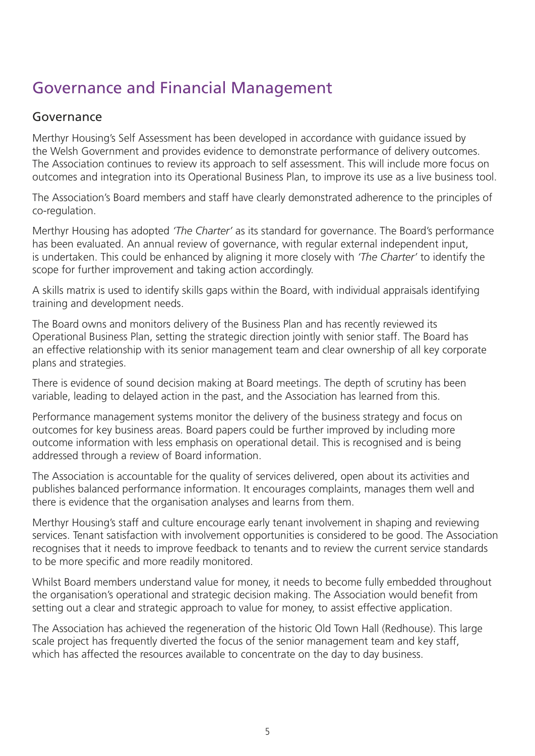# Governance and Financial Management

## Governance

Merthyr Housing's Self Assessment has been developed in accordance with guidance issued by the Welsh Government and provides evidence to demonstrate performance of delivery outcomes. The Association continues to review its approach to self assessment. This will include more focus on outcomes and integration into its Operational Business Plan, to improve its use as a live business tool.

The Association's Board members and staff have clearly demonstrated adherence to the principles of co-regulation.

Merthyr Housing has adopted *'The Charter'* as its standard for governance. The Board's performance has been evaluated. An annual review of governance, with regular external independent input, is undertaken. This could be enhanced by aligning it more closely with *'The Charter'* to identify the scope for further improvement and taking action accordingly.

A skills matrix is used to identify skills gaps within the Board, with individual appraisals identifying training and development needs.

The Board owns and monitors delivery of the Business Plan and has recently reviewed its Operational Business Plan, setting the strategic direction jointly with senior staff. The Board has an effective relationship with its senior management team and clear ownership of all key corporate plans and strategies.

There is evidence of sound decision making at Board meetings. The depth of scrutiny has been variable, leading to delayed action in the past, and the Association has learned from this.

Performance management systems monitor the delivery of the business strategy and focus on outcomes for key business areas. Board papers could be further improved by including more outcome information with less emphasis on operational detail. This is recognised and is being addressed through a review of Board information.

The Association is accountable for the quality of services delivered, open about its activities and publishes balanced performance information. It encourages complaints, manages them well and there is evidence that the organisation analyses and learns from them.

Merthyr Housing's staff and culture encourage early tenant involvement in shaping and reviewing services. Tenant satisfaction with involvement opportunities is considered to be good. The Association recognises that it needs to improve feedback to tenants and to review the current service standards to be more specific and more readily monitored.

Whilst Board members understand value for money, it needs to become fully embedded throughout the organisation's operational and strategic decision making. The Association would benefit from setting out a clear and strategic approach to value for money, to assist effective application.

The Association has achieved the regeneration of the historic Old Town Hall (Redhouse). This large scale project has frequently diverted the focus of the senior management team and key staff, which has affected the resources available to concentrate on the day to day business.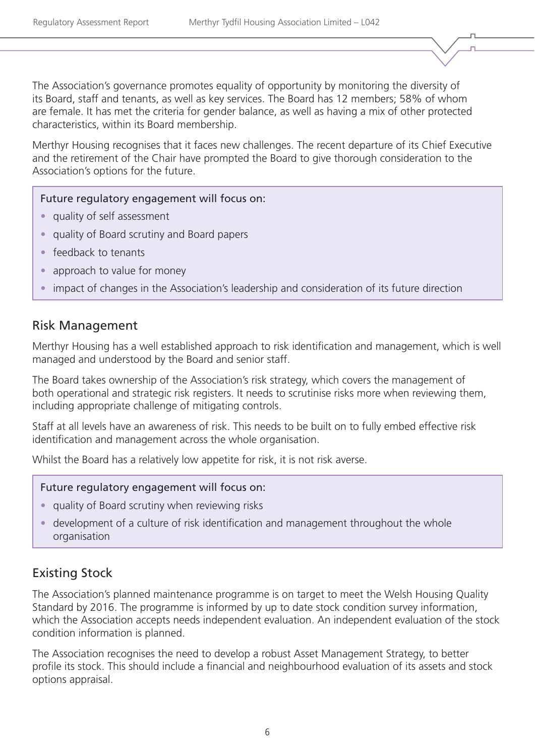The Association's governance promotes equality of opportunity by monitoring the diversity of its Board, staff and tenants, as well as key services. The Board has 12 members; 58% of whom are female. It has met the criteria for gender balance, as well as having a mix of other protected characteristics, within its Board membership.

Merthyr Housing recognises that it faces new challenges. The recent departure of its Chief Executive and the retirement of the Chair have prompted the Board to give thorough consideration to the Association's options for the future.

#### Future regulatory engagement will focus on:

- quality of self assessment
- quality of Board scrutiny and Board papers
- feedback to tenants
- approach to value for money
- impact of changes in the Association's leadership and consideration of its future direction

### Risk Management

Merthyr Housing has a well established approach to risk identification and management, which is well managed and understood by the Board and senior staff.

The Board takes ownership of the Association's risk strategy, which covers the management of both operational and strategic risk registers. It needs to scrutinise risks more when reviewing them, including appropriate challenge of mitigating controls.

Staff at all levels have an awareness of risk. This needs to be built on to fully embed effective risk identification and management across the whole organisation.

Whilst the Board has a relatively low appetite for risk, it is not risk averse.

#### Future regulatory engagement will focus on:

- quality of Board scrutiny when reviewing risks
- development of a culture of risk identification and management throughout the whole organisation

## Existing Stock

The Association's planned maintenance programme is on target to meet the Welsh Housing Quality Standard by 2016. The programme is informed by up to date stock condition survey information, which the Association accepts needs independent evaluation. An independent evaluation of the stock condition information is planned.

The Association recognises the need to develop a robust Asset Management Strategy, to better profile its stock. This should include a financial and neighbourhood evaluation of its assets and stock options appraisal.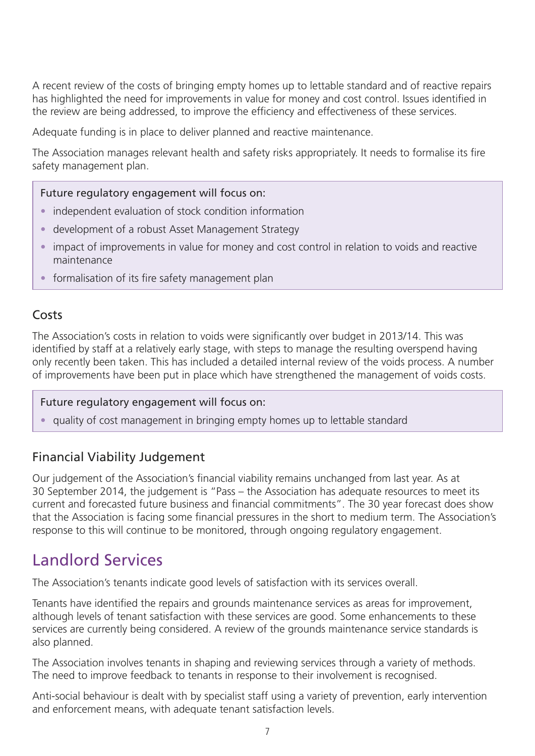A recent review of the costs of bringing empty homes up to lettable standard and of reactive repairs has highlighted the need for improvements in value for money and cost control. Issues identified in the review are being addressed, to improve the efficiency and effectiveness of these services.

Adequate funding is in place to deliver planned and reactive maintenance.

The Association manages relevant health and safety risks appropriately. It needs to formalise its fire safety management plan.

#### Future regulatory engagement will focus on:

- independent evaluation of stock condition information
- development of a robust Asset Management Strategy
- impact of improvements in value for money and cost control in relation to voids and reactive maintenance
- formalisation of its fire safety management plan

### Costs

The Association's costs in relation to voids were significantly over budget in 2013/14. This was identified by staff at a relatively early stage, with steps to manage the resulting overspend having only recently been taken. This has included a detailed internal review of the voids process. A number of improvements have been put in place which have strengthened the management of voids costs.

#### Future regulatory engagement will focus on:

• quality of cost management in bringing empty homes up to lettable standard

## Financial Viability Judgement

Our judgement of the Association's financial viability remains unchanged from last year. As at 30 September 2014, the judgement is "Pass – the Association has adequate resources to meet its current and forecasted future business and financial commitments". The 30 year forecast does show that the Association is facing some financial pressures in the short to medium term. The Association's response to this will continue to be monitored, through ongoing regulatory engagement.

## Landlord Services

The Association's tenants indicate good levels of satisfaction with its services overall.

Tenants have identified the repairs and grounds maintenance services as areas for improvement, although levels of tenant satisfaction with these services are good. Some enhancements to these services are currently being considered. A review of the grounds maintenance service standards is also planned.

The Association involves tenants in shaping and reviewing services through a variety of methods. The need to improve feedback to tenants in response to their involvement is recognised.

Anti-social behaviour is dealt with by specialist staff using a variety of prevention, early intervention and enforcement means, with adequate tenant satisfaction levels.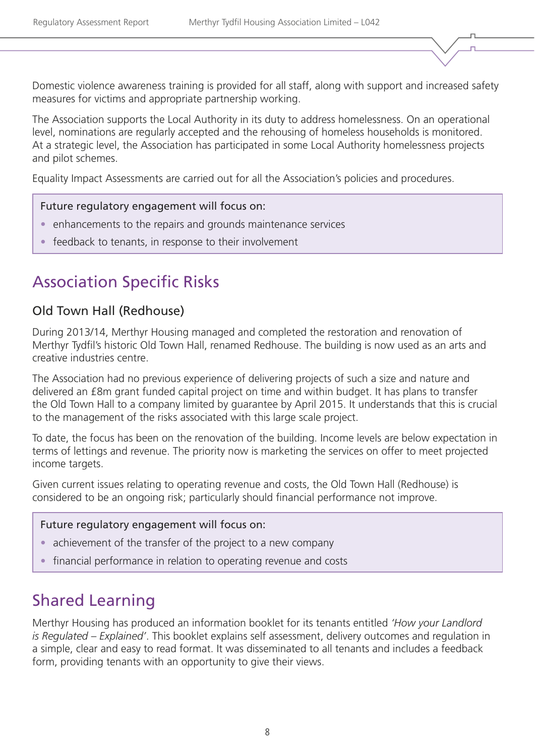Domestic violence awareness training is provided for all staff, along with support and increased safety measures for victims and appropriate partnership working.

The Association supports the Local Authority in its duty to address homelessness. On an operational level, nominations are regularly accepted and the rehousing of homeless households is monitored. At a strategic level, the Association has participated in some Local Authority homelessness projects and pilot schemes.

Equality Impact Assessments are carried out for all the Association's policies and procedures.

#### Future regulatory engagement will focus on:

- enhancements to the repairs and grounds maintenance services
- feedback to tenants, in response to their involvement

## Association Specific Risks

### Old Town Hall (Redhouse)

During 2013/14, Merthyr Housing managed and completed the restoration and renovation of Merthyr Tydfil's historic Old Town Hall, renamed Redhouse. The building is now used as an arts and creative industries centre.

The Association had no previous experience of delivering projects of such a size and nature and delivered an £8m grant funded capital project on time and within budget. It has plans to transfer the Old Town Hall to a company limited by guarantee by April 2015. It understands that this is crucial to the management of the risks associated with this large scale project.

To date, the focus has been on the renovation of the building. Income levels are below expectation in terms of lettings and revenue. The priority now is marketing the services on offer to meet projected income targets.

Given current issues relating to operating revenue and costs, the Old Town Hall (Redhouse) is considered to be an ongoing risk; particularly should financial performance not improve.

#### Future regulatory engagement will focus on:

- achievement of the transfer of the project to a new company
- financial performance in relation to operating revenue and costs

## Shared Learning

Merthyr Housing has produced an information booklet for its tenants entitled *'How your Landlord is Regulated – Explained'*. This booklet explains self assessment, delivery outcomes and regulation in a simple, clear and easy to read format. It was disseminated to all tenants and includes a feedback form, providing tenants with an opportunity to give their views.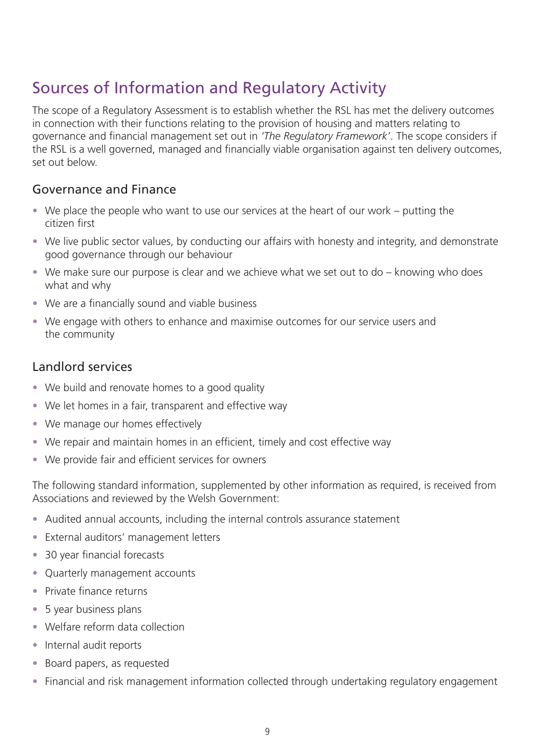# Sources of Information and Regulatory Activity

The scope of a Regulatory Assessment is to establish whether the RSL has met the delivery outcomes in connection with their functions relating to the provision of housing and matters relating to governance and financial management set out in *'The Regulatory Framework'*. The scope considers if the RSL is a well governed, managed and financially viable organisation against ten delivery outcomes, set out below.

## Governance and Finance

- We place the people who want to use our services at the heart of our work putting the citizen first
- We live public sector values, by conducting our affairs with honesty and integrity, and demonstrate good governance through our behaviour
- We make sure our purpose is clear and we achieve what we set out to do knowing who does what and why
- We are a financially sound and viable business
- We engage with others to enhance and maximise outcomes for our service users and the community

## Landlord services

- We build and renovate homes to a good quality
- We let homes in a fair, transparent and effective way
- We manage our homes effectively
- We repair and maintain homes in an efficient, timely and cost effective way
- We provide fair and efficient services for owners

The following standard information, supplemented by other information as required, is received from Associations and reviewed by the Welsh Government:

- Audited annual accounts, including the internal controls assurance statement
- External auditors' management letters
- 30 year financial forecasts
- Quarterly management accounts
- Private finance returns
- 5 year business plans
- Welfare reform data collection
- Internal audit reports
- Board papers, as requested
- Financial and risk management information collected through undertaking regulatory engagement